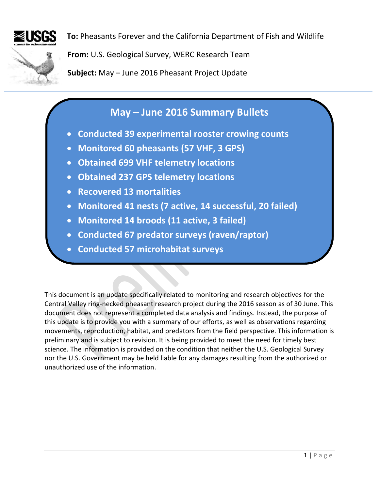

**To:** Pheasants Forever and the California Department of Fish and Wildlife

**From:** U.S. Geological Survey, WERC Research Team

**Subject:** May – June 2016 Pheasant Project Update

## **May – June 2016 Summary Bullets**

- **Conducted 39 experimental rooster crowing counts**
- **Monitored 60 pheasants (57 VHF, 3 GPS)**
- **Obtained 699 VHF telemetry locations**
- **Obtained 237 GPS telemetry locations**
- **Recovered 13 mortalities**
- **Monitored 41 nests (7 active, 14 successful, 20 failed)**
- **Monitored 14 broods (11 active, 3 failed)**
- **Conducted 67 predator surveys (raven/raptor)**
- **Conducted 57 microhabitat surveys**

This document is an update specifically related to monitoring and research objectives for the Central Valley ring-necked pheasant research project during the 2016 season as of 30 June. This document does not represent a completed data analysis and findings. Instead, the purpose of this update is to provide you with a summary of our efforts, as well as observations regarding movements, reproduction, habitat, and predators from the field perspective. This information is preliminary and is subject to revision. It is being provided to meet the need for timely best science. The information is provided on the condition that neither the U.S. Geological Survey nor the U.S. Government may be held liable for any damages resulting from the authorized or unauthorized use of the information.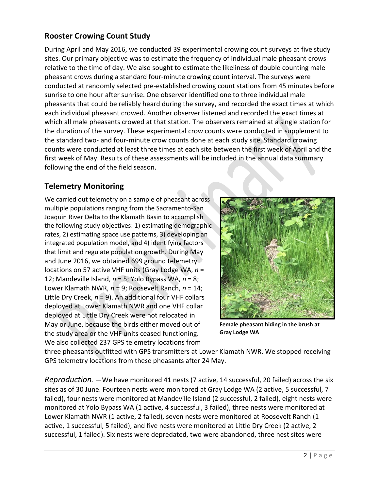## **Rooster Crowing Count Study**

During April and May 2016, we conducted 39 experimental crowing count surveys at five study sites. Our primary objective was to estimate the frequency of individual male pheasant crows relative to the time of day. We also sought to estimate the likeliness of double counting male pheasant crows during a standard four-minute crowing count interval. The surveys were conducted at randomly selected pre-established crowing count stations from 45 minutes before sunrise to one hour after sunrise. One observer identified one to three individual male pheasants that could be reliably heard during the survey, and recorded the exact times at which each individual pheasant crowed. Another observer listened and recorded the exact times at which all male pheasants crowed at that station. The observers remained at a single station for the duration of the survey. These experimental crow counts were conducted in supplement to the standard two- and four-minute crow counts done at each study site. Standard crowing counts were conducted at least three times at each site between the first week of April and the first week of May. Results of these assessments will be included in the annual data summary following the end of the field season.

## **Telemetry Monitoring**

We carried out telemetry on a sample of pheasant across multiple populations ranging from the Sacramento-San Joaquin River Delta to the Klamath Basin to accomplish the following study objectives: 1) estimating demographic rates, 2) estimating space use patterns, 3) developing an integrated population model, and 4) identifying factors that limit and regulate population growth. During May and June 2016, we obtained 699 ground telemetry locations on 57 active VHF units (Gray Lodge WA, *n* = 12; Mandeville Island, *n* = 5; Yolo Bypass WA, *n* = 8; Lower Klamath NWR, *n* = 9; Roosevelt Ranch, *n* = 14; Little Dry Creek, *n* = 9). An additional four VHF collars deployed at Lower Klamath NWR and one VHF collar deployed at Little Dry Creek were not relocated in May or June, because the birds either moved out of the study area or the VHF units ceased functioning. We also collected 237 GPS telemetry locations from



**Female pheasant hiding in the brush at Gray Lodge WA**

three pheasants outfitted with GPS transmitters at Lower Klamath NWR. We stopped receiving GPS telemetry locations from these pheasants after 24 May.

*Reproduction. ―*We have monitored 41 nests (7 active, 14 successful, 20 failed) across the six sites as of 30 June. Fourteen nests were monitored at Gray Lodge WA (2 active, 5 successful, 7 failed), four nests were monitored at Mandeville Island (2 successful, 2 failed), eight nests were monitored at Yolo Bypass WA (1 active, 4 successful, 3 failed), three nests were monitored at Lower Klamath NWR (1 active, 2 failed), seven nests were monitored at Roosevelt Ranch (1 active, 1 successful, 5 failed), and five nests were monitored at Little Dry Creek (2 active, 2 successful, 1 failed). Six nests were depredated, two were abandoned, three nest sites were